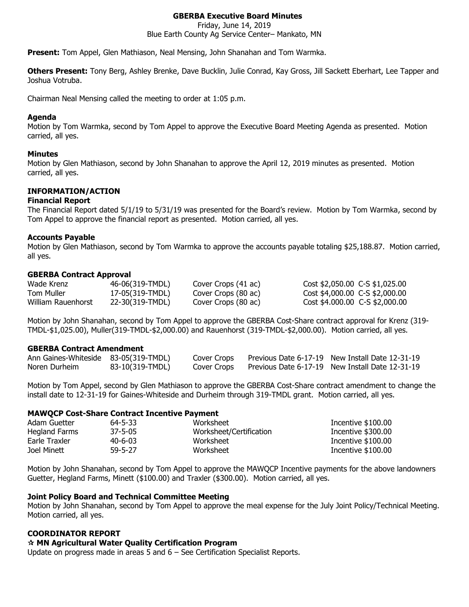# **GBERBA Executive Board Minutes**

Friday, June 14, 2019 Blue Earth County Ag Service Center– Mankato, MN

**Present:** Tom Appel, Glen Mathiason, Neal Mensing, John Shanahan and Tom Warmka.

**Others Present:** Tony Berg, Ashley Brenke, Dave Bucklin, Julie Conrad, Kay Gross, Jill Sackett Eberhart, Lee Tapper and Joshua Votruba.

Chairman Neal Mensing called the meeting to order at 1:05 p.m.

### **Agenda**

Motion by Tom Warmka, second by Tom Appel to approve the Executive Board Meeting Agenda as presented. Motion carried, all yes.

## **Minutes**

Motion by Glen Mathiason, second by John Shanahan to approve the April 12, 2019 minutes as presented. Motion carried, all yes.

# **INFORMATION/ACTION**

### **Financial Report**

The Financial Report dated 5/1/19 to 5/31/19 was presented for the Board's review. Motion by Tom Warmka, second by Tom Appel to approve the financial report as presented. Motion carried, all yes.

## **Accounts Payable**

Motion by Glen Mathiason, second by Tom Warmka to approve the accounts payable totaling \$25,188.87. Motion carried, all yes.

### **GBERBA Contract Approval**

| Wade Krenz         | 46-06(319-TMDL) | Cover Crops (41 ac) | $Cost $2,050.00$ C-S \$1,025.00 |
|--------------------|-----------------|---------------------|---------------------------------|
| Tom Muller         | 17-05(319-TMDL) | Cover Crops (80 ac) | Cost \$4,000.00 C-S \$2,000.00  |
| William Rauenhorst | 22-30(319-TMDL) | Cover Crops (80 ac) | Cost \$4,000.00 C-S \$2,000.00  |

Motion by John Shanahan, second by Tom Appel to approve the GBERBA Cost-Share contract approval for Krenz (319- TMDL-\$1,025.00), Muller(319-TMDL-\$2,000.00) and Rauenhorst (319-TMDL-\$2,000.00). Motion carried, all yes.

### **GBERBA Contract Amendment**

| Ann Gaines-Whiteside 83-05(319-TMDL) |                 | Cover Crops | Previous Date 6-17-19 New Install Date 12-31-19 |
|--------------------------------------|-----------------|-------------|-------------------------------------------------|
| Noren Durheim                        | 83-10(319-TMDL) | Cover Crops | Previous Date 6-17-19 New Install Date 12-31-19 |

Motion by Tom Appel, second by Glen Mathiason to approve the GBERBA Cost-Share contract amendment to change the install date to 12-31-19 for Gaines-Whiteside and Durheim through 319-TMDL grant. Motion carried, all yes.

### **MAWQCP Cost-Share Contract Incentive Payment**

| Adam Guetter  | 64-5-33       | Worksheet               | Incentive $$100.00$ |
|---------------|---------------|-------------------------|---------------------|
| Hegland Farms | $37 - 5 - 05$ | Worksheet/Certification | Incentive \$300.00  |
| Earle Traxler | $40 - 6 - 03$ | Worksheet               | Incentive \$100.00  |
| Joel Minett   | 59-5-27       | Worksheet               | Incentive \$100.00  |

Motion by John Shanahan, second by Tom Appel to approve the MAWQCP Incentive payments for the above landowners Guetter, Hegland Farms, Minett (\$100.00) and Traxler (\$300.00). Motion carried, all yes.

### **Joint Policy Board and Technical Committee Meeting**

Motion by John Shanahan, second by Tom Appel to approve the meal expense for the July Joint Policy/Technical Meeting. Motion carried, all yes.

# **COORDINATOR REPORT**

## **MN Agricultural Water Quality Certification Program**

Update on progress made in areas 5 and 6 – See Certification Specialist Reports.